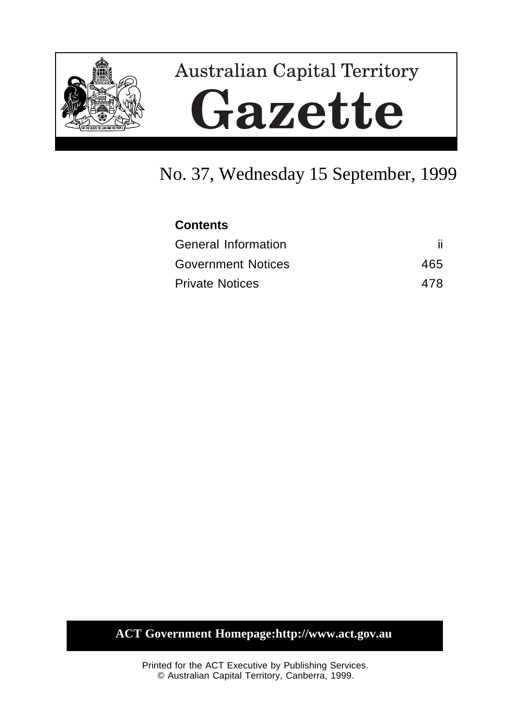

# **Australian Capital Territory** Gazette

## No. 37, Wednesday 15 September, 1999

| <b>Contents</b>           |     |
|---------------------------|-----|
| General Information       |     |
| <b>Government Notices</b> | 465 |
| <b>Private Notices</b>    | 478 |

#### **ACT Government Homepage:http://www.act.gov.au**

Printed for the ACT Executive by Publishing Services. © Australian Capital Territory, Canberra, 1999.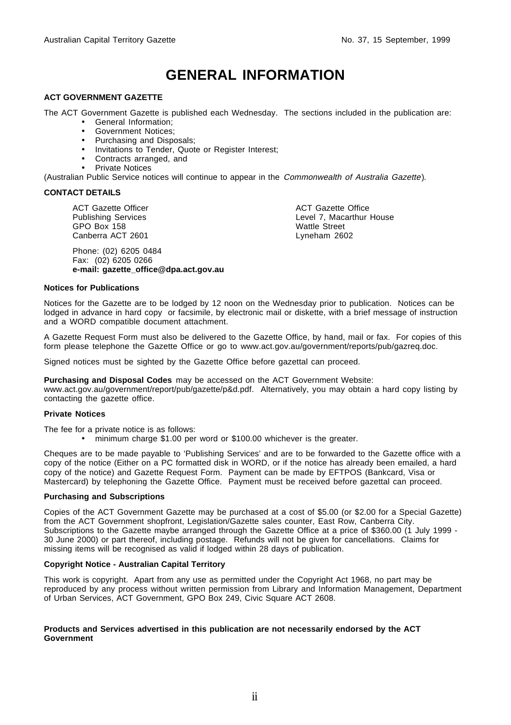## **GENERAL INFORMATION**

#### **ACT GOVERNMENT GAZETTE**

The ACT Government Gazette is published each Wednesday. The sections included in the publication are:

- General Information;
- Government Notices;
- Purchasing and Disposals;
- Invitations to Tender, Quote or Register Interest;
- Contracts arranged, and
- Private Notices

(Australian Public Service notices will continue to appear in the Commonwealth of Australia Gazette).

#### **CONTACT DETAILS**

ACT Gazette Officer Publishing Services GPO Box 158 Canberra ACT 2601

Phone: (02) 6205 0484 Fax: (02) 6205 0266 **e-mail: gazette\_office@dpa.act.gov.au** ACT Gazette Office Level 7, Macarthur House Wattle Street Lyneham 2602

#### **Notices for Publications**

Notices for the Gazette are to be lodged by 12 noon on the Wednesday prior to publication. Notices can be lodged in advance in hard copy or facsimile, by electronic mail or diskette, with a brief message of instruction and a WORD compatible document attachment.

A Gazette Request Form must also be delivered to the Gazette Office, by hand, mail or fax. For copies of this form please telephone the Gazette Office or go to www.act.gov.au/government/reports/pub/gazreq.doc.

Signed notices must be sighted by the Gazette Office before gazettal can proceed.

**Purchasing and Disposal Codes** may be accessed on the ACT Government Website:

www.act.gov.au/government/report/pub/gazette/p&d.pdf. Alternatively, you may obtain a hard copy listing by contacting the gazette office.

#### **Private Notices**

The fee for a private notice is as follows:

• minimum charge \$1.00 per word or \$100.00 whichever is the greater.

Cheques are to be made payable to 'Publishing Services' and are to be forwarded to the Gazette office with a copy of the notice (Either on a PC formatted disk in WORD, or if the notice has already been emailed, a hard copy of the notice) and Gazette Request Form. Payment can be made by EFTPOS (Bankcard, Visa or Mastercard) by telephoning the Gazette Office. Payment must be received before gazettal can proceed.

#### **Purchasing and Subscriptions**

Copies of the ACT Government Gazette may be purchased at a cost of \$5.00 (or \$2.00 for a Special Gazette) from the ACT Government shopfront, Legislation/Gazette sales counter, East Row, Canberra City. Subscriptions to the Gazette maybe arranged through the Gazette Office at a price of \$360.00 (1 July 1999 -30 June 2000) or part thereof, including postage. Refunds will not be given for cancellations. Claims for missing items will be recognised as valid if lodged within 28 days of publication.

#### **Copyright Notice - Australian Capital Territory**

This work is copyright. Apart from any use as permitted under the Copyright Act 1968, no part may be reproduced by any process without written permission from Library and Information Management, Department of Urban Services, ACT Government, GPO Box 249, Civic Square ACT 2608.

#### **Products and Services advertised in this publication are not necessarily endorsed by the ACT Government**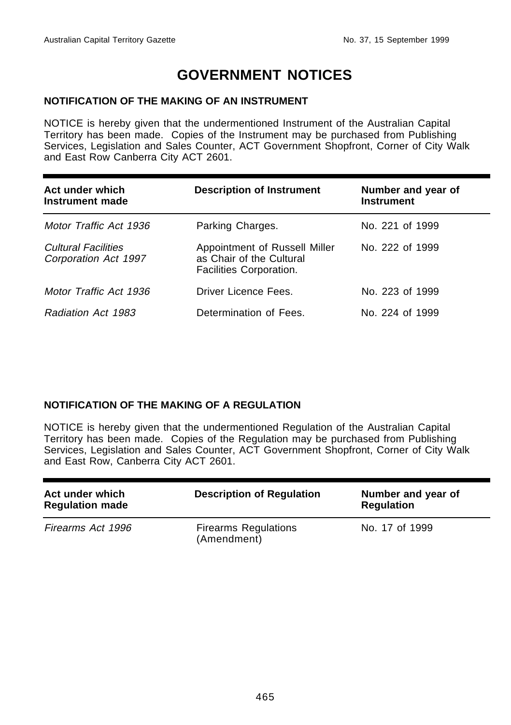## **GOVERNMENT NOTICES**

#### **NOTIFICATION OF THE MAKING OF AN INSTRUMENT**

NOTICE is hereby given that the undermentioned Instrument of the Australian Capital Territory has been made. Copies of the Instrument may be purchased from Publishing Services, Legislation and Sales Counter, ACT Government Shopfront, Corner of City Walk and East Row Canberra City ACT 2601.

| Act under which<br>Instrument made                 | <b>Description of Instrument</b>                                                     | Number and year of<br><b>Instrument</b> |
|----------------------------------------------------|--------------------------------------------------------------------------------------|-----------------------------------------|
| Motor Traffic Act 1936                             | Parking Charges.                                                                     | No. 221 of 1999                         |
| <b>Cultural Facilities</b><br>Corporation Act 1997 | Appointment of Russell Miller<br>as Chair of the Cultural<br>Facilities Corporation. | No. 222 of 1999                         |
| Motor Traffic Act 1936                             | Driver Licence Fees.                                                                 | No. 223 of 1999                         |
| Radiation Act 1983                                 | Determination of Fees.                                                               | No. 224 of 1999                         |

#### **NOTIFICATION OF THE MAKING OF A REGULATION**

NOTICE is hereby given that the undermentioned Regulation of the Australian Capital Territory has been made. Copies of the Regulation may be purchased from Publishing Services, Legislation and Sales Counter, ACT Government Shopfront, Corner of City Walk and East Row, Canberra City ACT 2601.

| Act under which<br><b>Regulation made</b> | <b>Description of Regulation</b>           | Number and year of<br><b>Regulation</b> |
|-------------------------------------------|--------------------------------------------|-----------------------------------------|
| Firearms Act 1996                         | <b>Firearms Regulations</b><br>(Amendment) | No. 17 of 1999                          |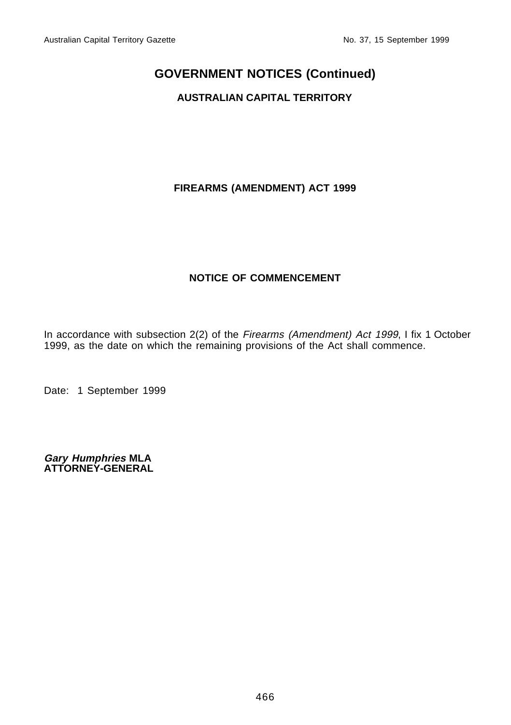#### **AUSTRALIAN CAPITAL TERRITORY**

#### **FIREARMS (AMENDMENT) ACT 1999**

#### **NOTICE OF COMMENCEMENT**

In accordance with subsection 2(2) of the Firearms (Amendment) Act 1999, I fix 1 October 1999, as the date on which the remaining provisions of the Act shall commence.

Date: 1 September 1999

**Gary Humphries MLA ATTORNEY-GENERAL**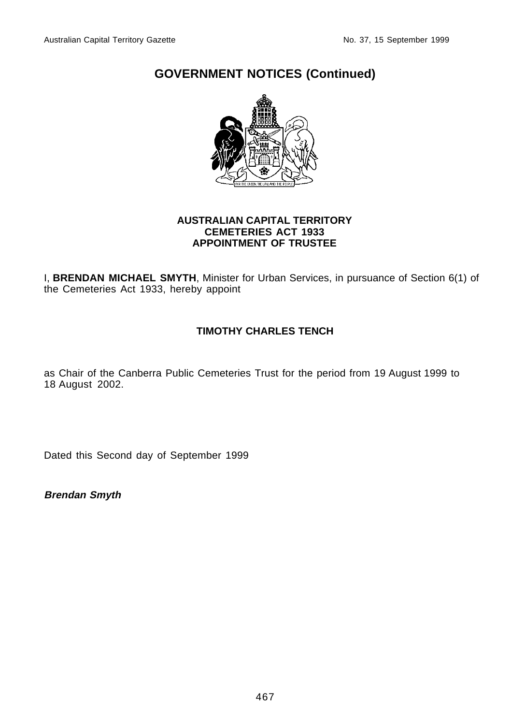

#### **AUSTRALIAN CAPITAL TERRITORY CEMETERIES ACT 1933 APPOINTMENT OF TRUSTEE**

I, **BRENDAN MICHAEL SMYTH**, Minister for Urban Services, in pursuance of Section 6(1) of the Cemeteries Act 1933, hereby appoint

#### **TIMOTHY CHARLES TENCH**

as Chair of the Canberra Public Cemeteries Trust for the period from 19 August 1999 to 18 August 2002.

Dated this Second day of September 1999

**Brendan Smyth**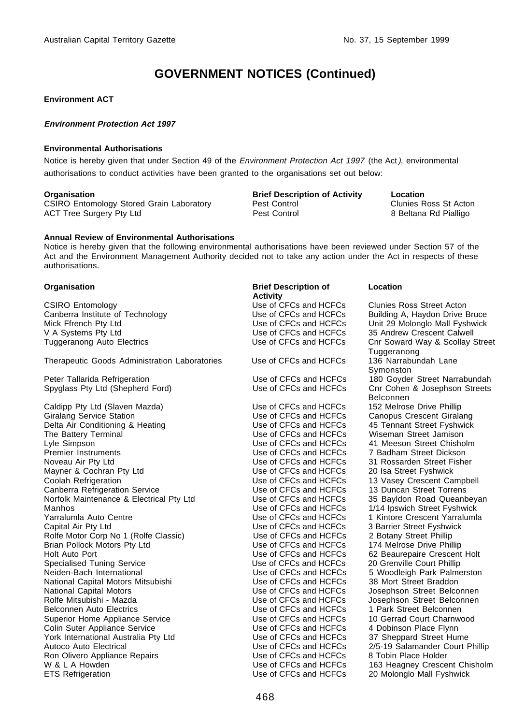#### **Environment ACT**

#### **Environment Protection Act 1997**

#### **Environmental Authorisations**

Notice is hereby given that under Section 49 of the Environment Protection Act 1997 (the Act), environmental authorisations to conduct activities have been granted to the organisations set out below:

CSIRO Entomology Stored Grain Laboratory 
Pest Control 
Pest Control 
Pest Control 
Pest Control 
Clunies Ross St Acton<br>
Pest Control 
Pest Control 
B Beltana Rd Pialligo ACT Tree Surgery Pty Ltd

**Organisation Brief Description of Activity Location**<br>CSIRO Entomology Stored Grain Laboratory Pest Control **CONTY CONTY CONTY CONTY** Clunies Ross St Acton

#### **Annual Review of Environmental Authorisations**

Notice is hereby given that the following environmental authorisations have been reviewed under Section 57 of the Act and the Environment Management Authority decided not to take any action under the Act in respects of these authorisations.

CSIRO Entomology<br>
Canberra Institute of Technology<br>
Use of CFCs and HCFCs<br>
Building A. Havdon Drive E Canberra Institute of Technology **Canberra Institute of Technology** Use of CFCs and HCFCs Building A, Haydon Drive Bruce<br>Mick Ffrench Pty Ltd **Drive Bruce Constant Use of CFCs and HCFCs** Unit 29 Molonglo Mall Fyshwick V A Systems Pty Ltd Use of CFCs and HCFCs 35 Andrew Crescent Calwell

Therapeutic Goods Administration Laboratories Use of CFCs and HCFCs

Peter Tallarida Refrigeration 
Use of CFCs and HCFCs<br>
Spyglass Pty Ltd (Shepherd Ford) 
Use of CFCs and HCFCs

Caldipp Pty Ltd (Slaven Mazda) Use of CFCs and HCFCs<br>
Giralang Service Station<br>
Use of CFCs and HCFCs Delta Air Conditioning & Heating Use of CFCs and HCFCs 45 Tennant Street Fyshwick<br>The Battery Terminal Use of CFCs and HCFCs Uniseman Street Jamison The Battery Terminal The Battery Terminal CHCS Use of CFCs and HCFCs Wiseman Street Jamison<br>
Use of CFCs and HCFCs 41 Meeson Street Chisholm Lyle Simpson **Lyle Simpson**<br>Premier Instruments **All Access 20 Meeson Street China Street China Street China Propose**<br>Use of CFCs and HCFCs Premier Instruments The Use of CFCs and HCFCs 7 Badham Street Dickson<br>Noveau Air Pty Ltd The Use of CFCs and HCFCs 31 Rossarden Street Fishe Mayner & Cochran Pty Ltd Use of CFCs and HCFCs<br>Coolah Refrigeration Coolah Busings and HCFCs 20 ISBN 976-80 Use of CFCs and HCFCs Coolah Refrigeration Use of CFCs and HCFCs 13 Vasey Crescent Campbell Canberra Refrigeration Service **Canberra Referent Constructs** Use of CFCs and HCFCs 13 Duncan Street Torrens<br>Norfolk Maintenance & Electrical Pty Ltd Use of CFCs and HCFCs 35 Bayldon Road Queanbeyan Norfolk Maintenance & Electrical Pty Ltd Use of CFCs and HCFCs<br>Manhos **36 Baylon Road August 25 Baylon Road August 25** Use of CFCs and HCFCs Manhos Manhos (Network of CFCs and HCFCs 1/14 Ipswich Street Fyshwick<br>Varralumla Auto Centre (Network of CHCs and HCFCs 1 Kintore Crescent Yarralumla Capital Air Pty Ltd<br>
Rolfe Motor Corp No 1 (Rolfe Classic) Use of CFCs and HCFCs 2 Botany Street Phillip Rolfe Motor Corp No 1 (Rolfe Classic) Use of CFCs and HCFCs 2 Botany Street Phillip<br>Brian Pollock Motors Pty Ltd Use of CFCs and HCFCs 174 Melrose Drive Phillip Brian Pollock Motors Pty Ltd Use of CFCs and HCFCs<br>
Holt Auto Port Care Phillips Phillips Phillips Phillips Phillips Phillips Phillips Phillips Phillips Phillips P Specialised Tuning Service Neiden-Bach International and Use of CFCs and HCFCs 5 Woodleigh Park Palmerston<br>National Capital Motors Mitsubishi and Use of CFCs and HCFCs 38 Mort Street Braddon National Capital Motors Mitsubishi **National Capital Motors** Mitsubishi **National Capital Motor Street Brades** Use of CFCs and HCFCs National Capital Motors **National Capital Motors Community** Use of CFCs and HCFCs Josephson Street Belconnen<br>
Use of CFCs and HCFCs Josephson Street Belconnen Rolfe Mitsubishi - Mazda **Names and Street Australian Connect Act CFCs** and HCFCs Josephson Street Belconnen<br>Belconnen Auto Electrics **Names and Street Belconnen** Use of CFCs and HCFCs 1 Park Street Belconnen Superior Home Appliance Service 
Use of CFCs and HCFCs
 10 Gerrad Court Charnw<br>
Use of CFCs and HCFCs
 4 Dobinson Place Flynn Colin Suter Appliance Service Collection Subsection Use of CFCs and HCFCs 4 Dobinson Place Flynn<br>Vork International Australia Pty Ltd Collection Use of CFCs and HCFCs 37 Sheppard Street Hume York International Australia Pty Ltd Use of CFCs and HCFCs<br>
Autoco Auto Electrical Australian Street Hume Wee of CFCs and HCFCs Ron Olivero Appliance Repairs<br>
W & L A Howden<br>
W & L A Howden ETS Refrigeration Use of CFCs and HCFCs 20 Molonglo Mall Fyshwick

**Organisation** Brief Description of **Activity**<br>Use of CFCs and HCFCs

**Location**

Use of CFCs and HCFCs Unit 29 Molonglo Mall Fyshwick<br>Use of CFCs and HCFCs 35 Andrew Crescent Calwell Tuggeranong Auto Electrics Use of CFCs and HCFCs Cnr Soward Way & Scollay Street Tuggeranong<br>136 Narrabundah Lane Symonston<br>180 Govder Street Narrabundah Cnr Cohen & Josephson Streets **Belconnen**<br>152 Melrose Drive Phillip Use of CFCs and HCFCs Canopus Crescent Giralang<br>Use of CFCs and HCFCs 45 Tennant Street Fyshwick Use of CFCs and HCFCs 31 Rossarden Street Fisher<br>Use of CFCs and HCFCs 20 Isa Street Fyshwick Use of CFCs and HCFCs 1 Kintore Crescent Yarralumla<br>Use of CFCs and HCFCs 3 Barrier Street Fyshwick Use of CFCs and HCFCs 62 Beaurepaire Crescent Holt<br>Use of CFCs and HCFCs 20 Grenville Court Phillip Use of CFCs and HCFCs 1 Park Street Belconnen<br>Use of CFCs and HCFCs 10 Gerrad Court Charnwood Use of CFCs and HCFCs 2/5-19 Salamander Court Phillip<br>Use of CFCs and HCFCs 8 Tobin Place Holder 163 Heagney Crescent Chisholm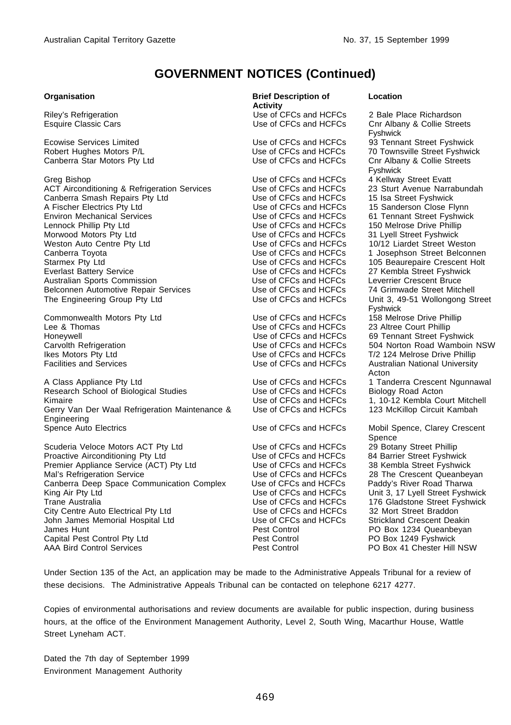Canberra Star Motors Pty Ltd

Greg Bishop<br>
Greg Bishop Coatt Evatt<br>
ACT Airconditioning & Refrigeration Services Use of CFCs and HCFCs 23 Sturt Avenue Narrabundah ACT Airconditioning & Refrigeration Services Use of CFCs and HCFCs 23 Sturt Avenue Narra<br>Canberra Smash Repairs Pty Ltd Use of CFCs and HCFCs 15 Isa Street Fyshwick Canberra Smash Repairs Pty Ltd Use of CFCs and HCFCs<br>
A Fischer Electrics Pty Ltd Use of CFCs and HCFCs A Fischer Electrics Pty Ltd<br>
Environ Mechanical Services<br>
Use of CFCs and HCFCs 61 Tennant Street Fyshwic Lennock Phillip Pty Ltd **Lennock Phillip Pty Ltd** Use of CFCs and HCFCs 150 Melrose Drive Phillip<br>Use of CFCs and HCFCs 31 Lvell Street Fyshwick Weston Auto Centre Pty Ltd 
Use of CFCs and HCFCs

Use of CFCs and HCFCs

Use of CFCs and HCFCs

Use of CFCs and HCFCs

1 Josephson Street Belconn
Use of CFCs and HCFCs

1 Josephson Street Belconn
Use of CFCs and HCFCs

1 Canberra Toyota<br>
Use of CFCs and HCFCs 1 Josephson Street Belconnen<br>
Use of CFCs and HCFCs 105 Beaurepaire Crescent Holt Starmex Pty Ltd **Container Community Container Container** Use of CFCs and HCFCs 105 Beaurepaire Crescent Holt Use of CFCs and HCFCs 27 Kembla Street Fyshwick Australian Sports Commission **Commission** Use of CFCs and HCFCs Leverrier Crescent Bruce<br>Belconnen Automotive Repair Services **Bruce CLACK USE 1989** Use of CFCs and HCFCs 74 Grimwade Street Mitchell Belconnen Automotive Repair Services Use of CFCs and HCFCs<br>The Engineering Group Pty Ltd Use of CFCs and HCFCs

Commonwealth Motors Pty Ltd Commonwealth Motors Pty Ltd Use of CFCs and HCFCs 158 Melrose Drive Philip<br>Use of CFCs and HCFCs 23 Altree Court Phillip Lee & Thomas **Lee A** Thomas **Court Phillip Executes**<br>
Use of CFCs and HCFCs Honeywell **Honeywell** Use of CFCs and HCFCs 69 Tennant Street Fyshwick<br>Carvolth Refrigeration **Carvolth Refrigeration** Use of CFCs and HCFCs 504 Norton Road Wamboin Ikes Motors Pty Ltd **International Community Community** Use of CFCs and HCFCs T/2 124 Melrose Drive Phillip<br>Use of CFCs and HCFCs Australian National University

A Class Appliance Ptv Ltd **USE 2006** Use of CFCs and HCFCs 1 Tanderra Crescent Ngunnawal Research School of Biological Studies Use of CFCs and HCFCs Biology Road Acton<br>Use of CFCs and HCFCs 1, 10-12 Kembla Co Kimaire **Vane 1, 10-12 Kembla Court Mitchell**<br>Gerry Van Der Waal Refrigeration Maintenance & Use of CFCs and HCFCs 123 McKillop Circuit Kambah Gerry Van Der Waal Refrigeration Maintenance & **Engineering**<br>Spence Auto Electrics

Scuderia Veloce Motors ACT Pty Ltd Use of CFCs and HCFCs 29 Botany Street Phillip<br>
Proactive Airconditioning Pty Ltd Use of CFCs and HCFCs 84 Barrier Street Fyshwick Proactive Airconditioning Pty Ltd 
Use of CFCs and HCFCs
 84 Barrier Street Fyshwick

Premier Appliance Service (ACT) Pty Ltd
Use of CFCs and HCFCs
38 Kembla Street Fyshwick Premier Appliance Service (ACT) Pty Ltd Use of CFCs and HCFCs<br>Mal's Refrigeration Service Carry Chembra Street Fysher Fysher Creet Muse of CFCs and HCFCs Canberra Deep Space Communication Complex Use of CFCs and HCFCs<br>King Air Pty Ltd<br>Use of CFCs and HCFCs King Air Pty Ltd Use of CFCs and HCFCs Unit 3, 17 Lyell Street Fyshwick Trane Australia **Trane Australia** Use of CFCs and HCFCs 176 Gladstone Street Fyshwick<br>City Centre Auto Electrical Pty Ltd **Network Use of CFCs and HCFCs** 32 Mort Street Braddon City Centre Auto Electrical Pty Ltd Use of CFCs and HCFCs 32 Mort Street Braddon John James Memorial Hospital Ltd Use of CFCs<br>James Hunt Deat Control James Hunt 1991 Control Pest Control 1991 Po Box 1234 Queanbeyan<br>
Pest Control Po Box 1249 Fyshwick Capital Pest Control Pty Ltd<br>
AAA Bird Control Services 
and Pest Control Pest Control AAA Bird Control Services Pest Control PO Box 41 Chester Hill NSW

**Organisation Brief Description of Activity** Riley's Refrigeration **Nation State State State Price Contracts** Use of CFCs and HCFCs 2 Bale Place Richardson<br>
Use of CFCs and HCFCs Cur Albany & Collie Stree Use of CFCs and HCFCs

#### **Location**

Cnr Albany & Collie Streets Fyshwick Ecowise Services Limited **Exercise 20** Use of CFCs and HCFCs 93 Tennant Street Fyshwick<br>
Use of CFCs and HCFCs 70 Townsville Street Fyshwic Use of CFCs and HCFCs 70 Townsville Street Fyshwick<br>Use of CFCs and HCFCs Cnr Albany & Collie Streets Fyshwick<br>4 Kellway Street Evatt Use of CFCs and HCFCs 61 Tennant Street Fyshwick<br>Use of CFCs and HCFCs 150 Melrose Drive Phillip Use of CFCs and HCFCs 27 Kembla Street Fyshwick<br>Use of CFCs and HCFCs Leverrier Crescent Bruce Unit 3, 49-51 Wollongong Street Fyshwick<br>158 Melrose Drive Phillip Use of CFCs and HCFCs 504 Norton Road Wamboin NSW<br>Use of CFCs and HCFCs 7/2 124 Melrose Drive Phillip **Australian National University** Acton 123 McKillop Circuit Kambah Use of CFCs and HCFCs Mobil Spence, Clarey Crescent Spence<br>29 Botany Street Phillip Use of CFCs and HCFCs 28 The Crescent Queanbeyan<br>Use of CFCs and HCFCs Paddy's River Road Tharwa

Under Section 135 of the Act, an application may be made to the Administrative Appeals Tribunal for a review of these decisions. The Administrative Appeals Tribunal can be contacted on telephone 6217 4277.

Copies of environmental authorisations and review documents are available for public inspection, during business hours, at the office of the Environment Management Authority, Level 2, South Wing, Macarthur House, Wattle Street Lyneham ACT.

Dated the 7th day of September 1999 Environment Management Authority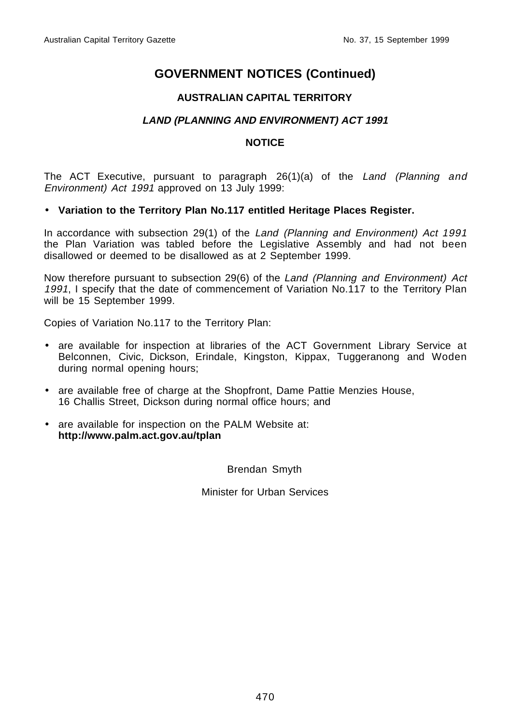#### **AUSTRALIAN CAPITAL TERRITORY**

#### **LAND (PLANNING AND ENVIRONMENT) ACT 1991**

#### **NOTICE**

The ACT Executive, pursuant to paragraph 26(1)(a) of the Land (Planning and Environment) Act 1991 approved on 13 July 1999:

#### • **Variation to the Territory Plan No.117 entitled Heritage Places Register.**

In accordance with subsection 29(1) of the Land (Planning and Environment) Act 1991 the Plan Variation was tabled before the Legislative Assembly and had not been disallowed or deemed to be disallowed as at 2 September 1999.

Now therefore pursuant to subsection 29(6) of the Land (Planning and Environment) Act 1991, I specify that the date of commencement of Variation No.117 to the Territory Plan will be 15 September 1999.

Copies of Variation No.117 to the Territory Plan:

- are available for inspection at libraries of the ACT Government Library Service at Belconnen, Civic, Dickson, Erindale, Kingston, Kippax, Tuggeranong and Woden during normal opening hours;
- are available free of charge at the Shopfront, Dame Pattie Menzies House, 16 Challis Street, Dickson during normal office hours; and
- are available for inspection on the PALM Website at: **http://www.palm.act.gov.au/tplan**

Brendan Smyth

Minister for Urban Services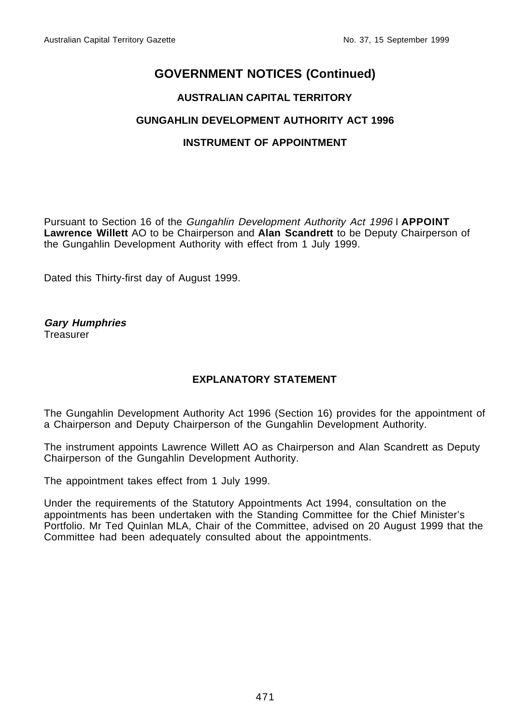#### **AUSTRALIAN CAPITAL TERRITORY**

#### **GUNGAHLIN DEVELOPMENT AUTHORITY ACT 1996**

#### **INSTRUMENT OF APPOINTMENT**

Pursuant to Section 16 of the Gungahlin Development Authority Act 1996 I **APPOINT Lawrence Willett** AO to be Chairperson and **Alan Scandrett** to be Deputy Chairperson of the Gungahlin Development Authority with effect from 1 July 1999.

Dated this Thirty-first day of August 1999.

**Gary Humphries** Treasurer

#### **EXPLANATORY STATEMENT**

The Gungahlin Development Authority Act 1996 (Section 16) provides for the appointment of a Chairperson and Deputy Chairperson of the Gungahlin Development Authority.

The instrument appoints Lawrence Willett AO as Chairperson and Alan Scandrett as Deputy Chairperson of the Gungahlin Development Authority.

The appointment takes effect from 1 July 1999.

Under the requirements of the Statutory Appointments Act 1994, consultation on the appointments has been undertaken with the Standing Committee for the Chief Minister's Portfolio. Mr Ted Quinlan MLA, Chair of the Committee, advised on 20 August 1999 that the Committee had been adequately consulted about the appointments.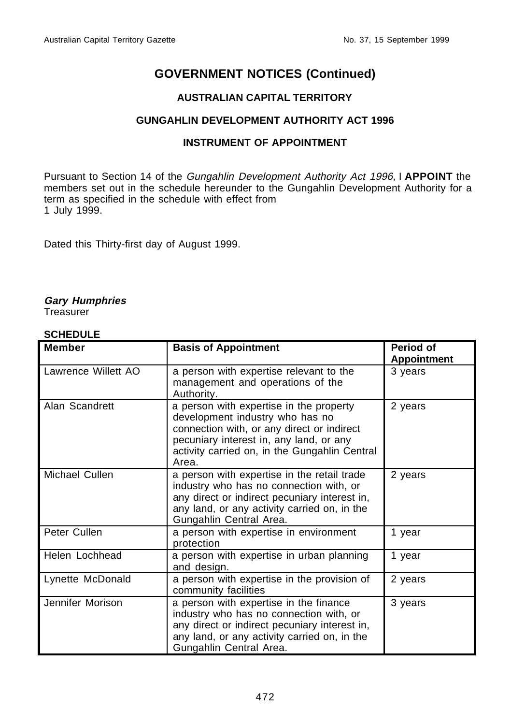#### **AUSTRALIAN CAPITAL TERRITORY**

#### **GUNGAHLIN DEVELOPMENT AUTHORITY ACT 1996**

#### **INSTRUMENT OF APPOINTMENT**

Pursuant to Section 14 of the Gungahlin Development Authority Act 1996, I **APPOINT** the members set out in the schedule hereunder to the Gungahlin Development Authority for a term as specified in the schedule with effect from 1 July 1999.

Dated this Thirty-first day of August 1999.

#### **Gary Humphries**

**Treasurer** 

#### **SCHEDULE**

| <b>Member</b>       | <b>Basis of Appointment</b>                                                                                                                                                                                                   | Period of<br><b>Appointment</b> |
|---------------------|-------------------------------------------------------------------------------------------------------------------------------------------------------------------------------------------------------------------------------|---------------------------------|
| Lawrence Willett AO | a person with expertise relevant to the<br>management and operations of the<br>Authority.                                                                                                                                     | 3 years                         |
| Alan Scandrett      | a person with expertise in the property<br>development industry who has no<br>connection with, or any direct or indirect<br>pecuniary interest in, any land, or any<br>activity carried on, in the Gungahlin Central<br>Area. | 2 years                         |
| Michael Cullen      | a person with expertise in the retail trade<br>industry who has no connection with, or<br>any direct or indirect pecuniary interest in,<br>any land, or any activity carried on, in the<br>Gungahlin Central Area.            | 2 years                         |
| Peter Cullen        | a person with expertise in environment<br>protection                                                                                                                                                                          | 1 year                          |
| Helen Lochhead      | a person with expertise in urban planning<br>and design.                                                                                                                                                                      | 1 year                          |
| Lynette McDonald    | a person with expertise in the provision of<br>community facilities                                                                                                                                                           | 2 years                         |
| Jennifer Morison    | a person with expertise in the finance<br>industry who has no connection with, or<br>any direct or indirect pecuniary interest in,<br>any land, or any activity carried on, in the<br>Gungahlin Central Area.                 | 3 years                         |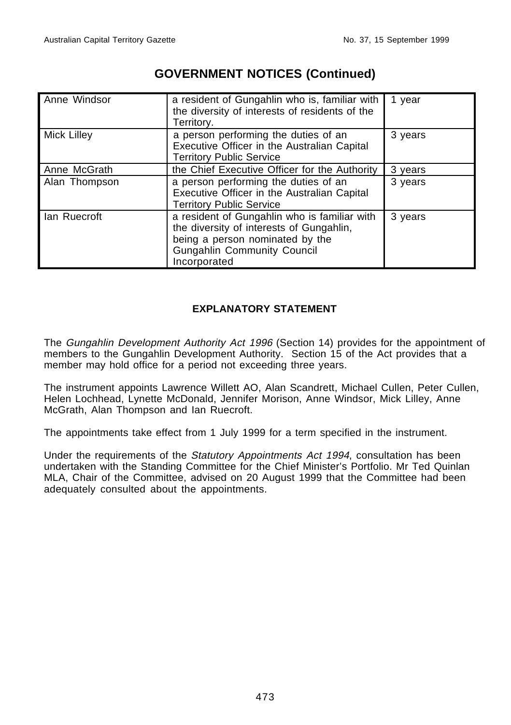| Anne Windsor       | a resident of Gungahlin who is, familiar with<br>the diversity of interests of residents of the<br>Territory.                                                                     | 1 year  |
|--------------------|-----------------------------------------------------------------------------------------------------------------------------------------------------------------------------------|---------|
| <b>Mick Lilley</b> | a person performing the duties of an<br>Executive Officer in the Australian Capital<br><b>Territory Public Service</b>                                                            | 3 years |
| Anne McGrath       | the Chief Executive Officer for the Authority                                                                                                                                     | 3 years |
| Alan Thompson      | a person performing the duties of an<br>Executive Officer in the Australian Capital<br><b>Territory Public Service</b>                                                            | 3 years |
| lan Ruecroft       | a resident of Gungahlin who is familiar with<br>the diversity of interests of Gungahlin,<br>being a person nominated by the<br><b>Gungahlin Community Council</b><br>Incorporated | 3 years |

#### **EXPLANATORY STATEMENT**

The Gungahlin Development Authority Act 1996 (Section 14) provides for the appointment of members to the Gungahlin Development Authority. Section 15 of the Act provides that a member may hold office for a period not exceeding three years.

The instrument appoints Lawrence Willett AO, Alan Scandrett, Michael Cullen, Peter Cullen, Helen Lochhead, Lynette McDonald, Jennifer Morison, Anne Windsor, Mick Lilley, Anne McGrath, Alan Thompson and Ian Ruecroft.

The appointments take effect from 1 July 1999 for a term specified in the instrument.

Under the requirements of the Statutory Appointments Act 1994, consultation has been undertaken with the Standing Committee for the Chief Minister's Portfolio. Mr Ted Quinlan MLA, Chair of the Committee, advised on 20 August 1999 that the Committee had been adequately consulted about the appointments.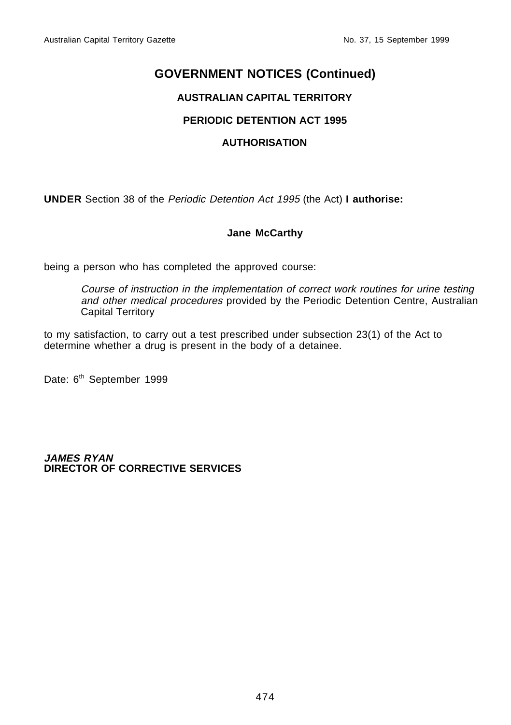#### **AUSTRALIAN CAPITAL TERRITORY**

#### **PERIODIC DETENTION ACT 1995**

#### **AUTHORISATION**

**UNDER** Section 38 of the Periodic Detention Act 1995 (the Act) **I authorise:**

#### **Jane McCarthy**

being a person who has completed the approved course:

Course of instruction in the implementation of correct work routines for urine testing and other medical procedures provided by the Periodic Detention Centre, Australian Capital Territory

to my satisfaction, to carry out a test prescribed under subsection 23(1) of the Act to determine whether a drug is present in the body of a detainee.

Date: 6<sup>th</sup> September 1999

**JAMES RYAN DIRECTOR OF CORRECTIVE SERVICES**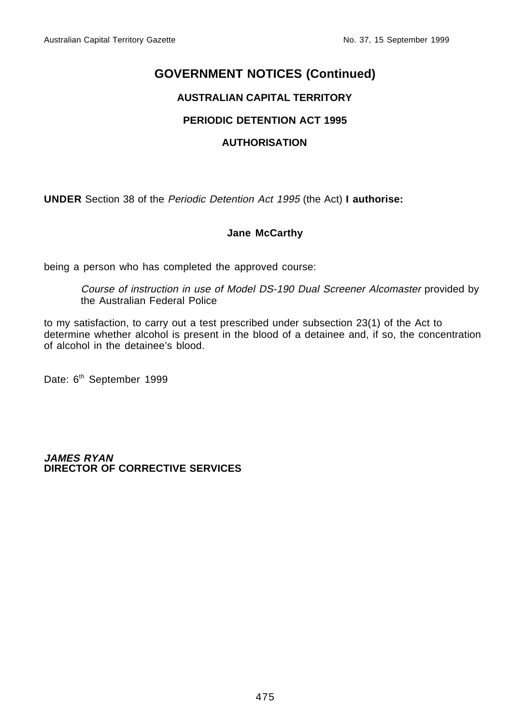#### **AUSTRALIAN CAPITAL TERRITORY**

#### **PERIODIC DETENTION ACT 1995**

#### **AUTHORISATION**

**UNDER** Section 38 of the Periodic Detention Act 1995 (the Act) **I authorise:**

#### **Jane McCarthy**

being a person who has completed the approved course:

Course of instruction in use of Model DS-190 Dual Screener Alcomaster provided by the Australian Federal Police

to my satisfaction, to carry out a test prescribed under subsection 23(1) of the Act to determine whether alcohol is present in the blood of a detainee and, if so, the concentration of alcohol in the detainee's blood.

Date: 6<sup>th</sup> September 1999

**JAMES RYAN DIRECTOR OF CORRECTIVE SERVICES**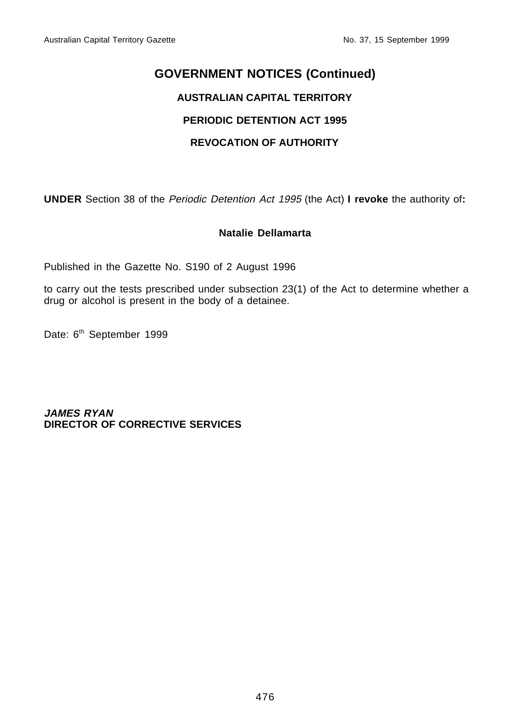#### **AUSTRALIAN CAPITAL TERRITORY**

#### **PERIODIC DETENTION ACT 1995**

#### **REVOCATION OF AUTHORITY**

**UNDER** Section 38 of the Periodic Detention Act 1995 (the Act) **I revoke** the authority of**:**

#### **Natalie Dellamarta**

Published in the Gazette No. S190 of 2 August 1996

to carry out the tests prescribed under subsection 23(1) of the Act to determine whether a drug or alcohol is present in the body of a detainee.

Date: 6<sup>th</sup> September 1999

**JAMES RYAN DIRECTOR OF CORRECTIVE SERVICES**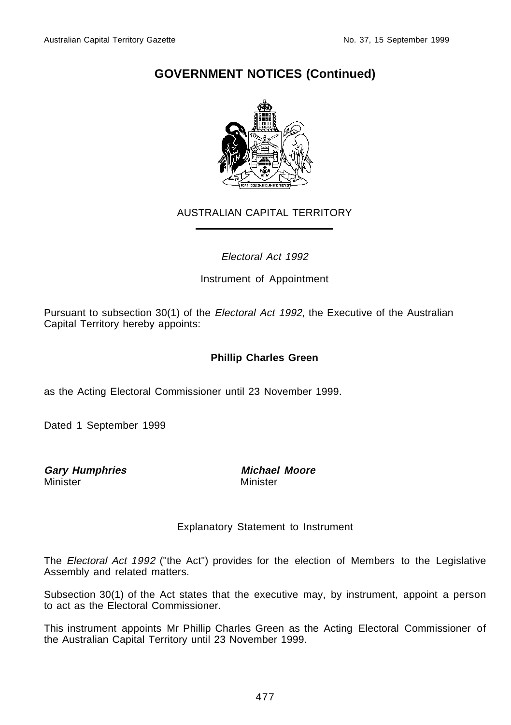

#### AUSTRALIAN CAPITAL TERRITORY

#### Electoral Act 1992

#### Instrument of Appointment

Pursuant to subsection 30(1) of the Electoral Act 1992, the Executive of the Australian Capital Territory hereby appoints:

#### **Phillip Charles Green**

as the Acting Electoral Commissioner until 23 November 1999.

Dated 1 September 1999

**Gary Humphries Michael Moore**

Minister

#### Explanatory Statement to Instrument

The *Electoral Act 1992* ("the Act") provides for the election of Members to the Legislative Assembly and related matters.

Subsection 30(1) of the Act states that the executive may, by instrument, appoint a person to act as the Electoral Commissioner.

This instrument appoints Mr Phillip Charles Green as the Acting Electoral Commissioner of the Australian Capital Territory until 23 November 1999.